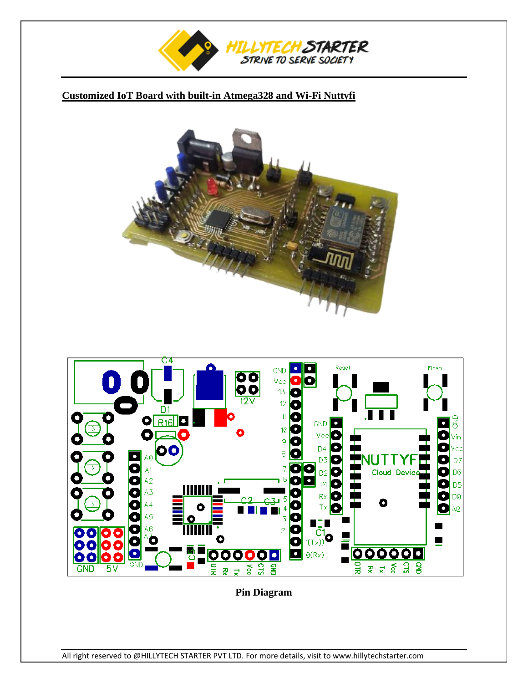

# **Customized IoT Board with built-in Atmega328 and Wi-Fi Nuttyfi**





**Pin Diagram**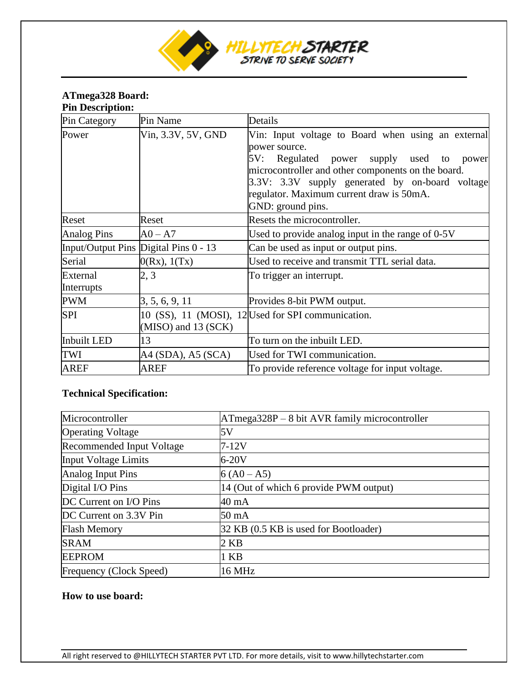

### **ATmega328 Board: Pin Description:**

| Pin Category           | Pin Name                              | Details                                                                                                                                                                                                                                                                                         |
|------------------------|---------------------------------------|-------------------------------------------------------------------------------------------------------------------------------------------------------------------------------------------------------------------------------------------------------------------------------------------------|
| Power                  | Vin, 3.3V, 5V, GND                    | Vin: Input voltage to Board when using an external<br>power source.<br>Regulated power supply used to<br>5V:<br>power<br>microcontroller and other components on the board.<br>3.3V: 3.3V supply generated by on-board voltage<br>regulator. Maximum current draw is 50mA.<br>GND: ground pins. |
| Reset                  | Reset                                 | Resets the microcontroller.                                                                                                                                                                                                                                                                     |
| <b>Analog Pins</b>     | $A0 - A7$                             | Used to provide analog input in the range of 0-5V                                                                                                                                                                                                                                               |
|                        | Input/Output Pins Digital Pins 0 - 13 | Can be used as input or output pins.                                                                                                                                                                                                                                                            |
| Serial                 | 0(Rx), 1(Tx)                          | Used to receive and transmit TTL serial data.                                                                                                                                                                                                                                                   |
| External<br>Interrupts | 2, 3                                  | To trigger an interrupt.                                                                                                                                                                                                                                                                        |
| <b>PWM</b>             | 3, 5, 6, 9, 11                        | Provides 8-bit PWM output.                                                                                                                                                                                                                                                                      |
| <b>SPI</b>             | $(MISO)$ and 13 (SCK)                 | 10 (SS), 11 (MOSI), 12 Used for SPI communication.                                                                                                                                                                                                                                              |
| <b>Inbuilt LED</b>     | 13                                    | To turn on the inbuilt LED.                                                                                                                                                                                                                                                                     |
| TWI                    | A4 (SDA), A5 (SCA)                    | Used for TWI communication.                                                                                                                                                                                                                                                                     |
| <b>AREF</b>            | <b>AREF</b>                           | To provide reference voltage for input voltage.                                                                                                                                                                                                                                                 |

# **Technical Specification:**

| Microcontroller             | $ATmega328P - 8 bit AVR family microcontroller$ |
|-----------------------------|-------------------------------------------------|
| <b>Operating Voltage</b>    | 5V                                              |
| Recommended Input Voltage   | $7-12V$                                         |
| <b>Input Voltage Limits</b> | $6-20V$                                         |
| Analog Input Pins           | $6 (A0 - A5)$                                   |
| Digital I/O Pins            | 14 (Out of which 6 provide PWM output)          |
| DC Current on I/O Pins      | 40 mA                                           |
| DC Current on 3.3V Pin      | $50 \text{ mA}$                                 |
| <b>Flash Memory</b>         | 32 KB (0.5 KB is used for Bootloader)           |
| <b>SRAM</b>                 | $2$ KB                                          |
| <b>EEPROM</b>               | 1 KB                                            |
| Frequency (Clock Speed)     | <b>16 MHz</b>                                   |

## **How to use board:**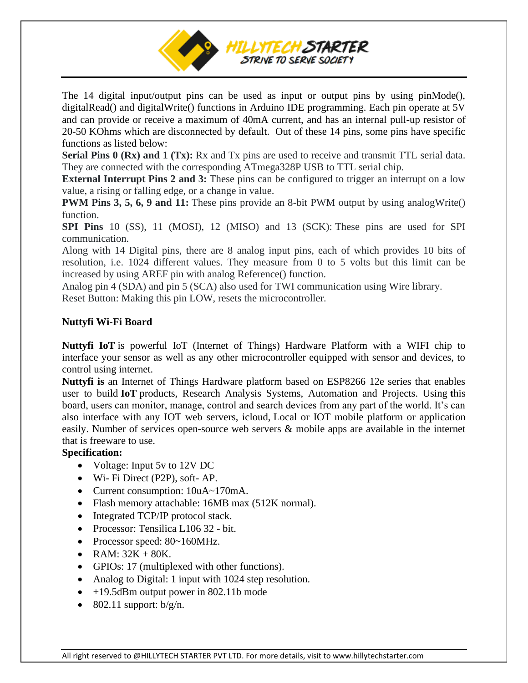

The 14 digital input/output pins can be used as input or output pins by using pinMode(), digitalRead() and digitalWrite() functions in Arduino IDE programming. Each pin operate at 5V and can provide or receive a maximum of 40mA current, and has an internal pull-up resistor of 20-50 KOhms which are disconnected by default. Out of these 14 pins, some pins have specific functions as listed below:

**Serial Pins 0 (Rx) and 1 (Tx):** Rx and Tx pins are used to receive and transmit TTL serial data. They are connected with the corresponding ATmega328P USB to TTL serial chip.

**External Interrupt Pins 2 and 3:** These pins can be configured to trigger an interrupt on a low value, a rising or falling edge, or a change in value.

**PWM Pins 3, 5, 6, 9 and 11:** These pins provide an 8-bit PWM output by using analogWrite() function.

**SPI Pins** 10 (SS), 11 (MOSI), 12 (MISO) and 13 (SCK): These pins are used for SPI communication.

Along with 14 Digital pins, there are 8 analog input pins, each of which provides 10 bits of resolution, i.e. 1024 different values. They measure from 0 to 5 volts but this limit can be increased by using AREF pin with analog Reference() function.

Analog pin 4 (SDA) and pin 5 (SCA) also used for TWI communication using Wire library. Reset Button: Making this pin LOW, resets the microcontroller.

## **Nuttyfi Wi-Fi Board**

**Nuttyfi IoT** is powerful IoT (Internet of Things) Hardware Platform with a WIFI chip to interface your sensor as well as any other microcontroller equipped with sensor and devices, to control using internet.

**Nuttyfi is** an Internet of Things Hardware platform based on ESP8266 12e series that enables user to build **IoT** products, Research Analysis Systems, Automation and Projects. Using **t**his board, users can monitor, manage, control and search devices from any part of the world. It's can also interface with any IOT web servers, icloud, Local or IOT mobile platform or application easily. Number of services open-source web servers & mobile apps are available in the internet that is freeware to use.

#### **Specification:**

- Voltage: Input 5y to 12V DC
- Wi- Fi Direct (P2P), soft- AP.
- Current consumption:  $10uA~170mA$ .
- Flash memory attachable: 16MB max (512K normal).
- Integrated TCP/IP protocol stack.
- Processor: Tensilica L106 32 bit.
- Processor speed: 80~160MHz.
- RAM:  $32K + 80K$ .
- GPIOs: 17 (multiplexed with other functions).
- Analog to Digital: 1 input with 1024 step resolution.
- +19.5dBm output power in 802.11b mode
- 802.11 support:  $b/g/n$ .